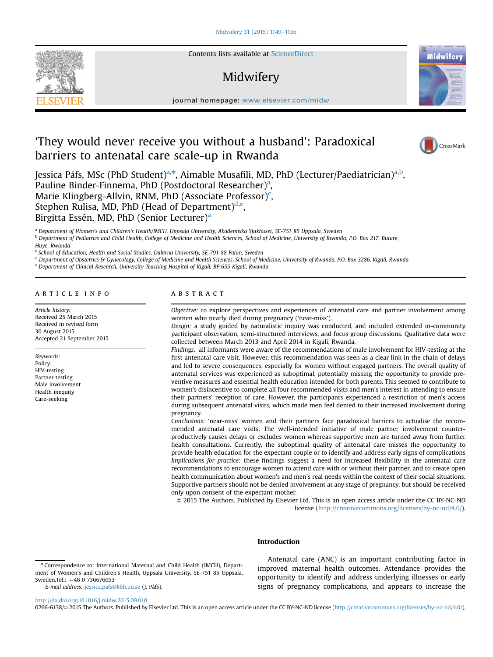

Contents lists available at [ScienceDirect](www.sciencedirect.com/science/journal/02666138)

# Midwifery



journal homepage: <www.elsevier.com/midw>

# 'They would never receive you without a husband': Paradoxical barriers to antenatal care scale-up in Rwanda



Jessica Påfs, MSc (PhD Student)<sup>a,\*</sup>, Aimable Musafili, MD, PhD (Lecturer/Paediatrician)<sup>a,b</sup>, Pauline Binder-Finnema, PhD (Postdoctoral Researcher)<sup>a</sup>, Marie Klingberg-Allvin, RNM, PhD (Associate Professor)<sup>c</sup>, Stephen Rulisa, MD, PhD (Head of Department) $d,e$ , Birgitta Essén, MD, PhD (Senior Lecturer)<sup>a</sup>

a Department of Women's and Children's Health/IMCH, Uppsala University, Akademiska Sjukhuset, SE-751 85 Uppsala, Sweden <sup>b</sup> Department of Pediatrics and Child Health, College of Medicine and Health Sciences, School of Medicine, University of Rwanda, P.O. Box 217, Butare, Huye, Rwanda

 $\epsilon$  School of Education, Health and Social Studies, Dalarna University, SE-791 88 Falun, Sweden

<sup>d</sup> Department of Obstetrics & Gynecology, College of Medicine and Health Sciences, School of Medicine, University of Rwanda, P.O. Box 3286, Kigali, Rwanda

e Department of Clinical Research, University Teaching Hospital of Kigali, BP 655 Kigali, Rwanda

# article info

Article history: Received 25 March 2015 Received in revised form 30 August 2015 Accepted 21 September 2015

Keywords: Policy HIV-testing Partner testing Male involvement Health inequity Care-seeking

# ABSTRACT

Objective: to explore perspectives and experiences of antenatal care and partner involvement among women who nearly died during pregnancy ('near-miss').

Design: a study guided by naturalistic inquiry was conducted, and included extended in-community participant observation, semi-structured interviews, and focus group discussions. Qualitative data were collected between March 2013 and April 2014 in Kigali, Rwanda.

Findings: all informants were aware of the recommendations of male involvement for HIV-testing at the first antenatal care visit. However, this recommendation was seen as a clear link in the chain of delays and led to severe consequences, especially for women without engaged partners. The overall quality of antenatal services was experienced as suboptimal, potentially missing the opportunity to provide preventive measures and essential health education intended for both parents. This seemed to contribute to women's disincentive to complete all four recommended visits and men's interest in attending to ensure their partners' reception of care. However, the participants experienced a restriction of men's access during subsequent antenatal visits, which made men feel denied to their increased involvement during pregnancy.

Conclusions: 'near-miss' women and their partners face paradoxical barriers to actualise the recommended antenatal care visits. The well-intended initiative of male partner involvement counterproductively causes delays or excludes women whereas supportive men are turned away from further health consultations. Currently, the suboptimal quality of antenatal care misses the opportunity to provide health education for the expectant couple or to identify and address early signs of complications Implications for practice: these findings suggest a need for increased flexibility in the antenatal care recommendations to encourage women to attend care with or without their partner, and to create open health communication about women's and men's real needs within the context of their social situations. Supportive partners should not be denied involvement at any stage of pregnancy, but should be received only upon consent of the expectant mother.

& 2015 The Authors. Published by Elsevier Ltd. This is an open access article under the CC BY-NC-ND license (http://creativecommons.org/licenses/by-nc-nd/4.0/).

## Introduction

E-mail address: [jessica.pafs@kbh.uu.se](mailto:jessica.pafs@kbh.uu.se) (J. Påfs).

Antenatal care (ANC) is an important contributing factor in improved maternal health outcomes. Attendance provides the opportunity to identify and address underlying illnesses or early signs of pregnancy complications, and appears to increase the

<http://dx.doi.org/10.1016/j.midw.2015.09.010>

0266-6138/@ 2015 The Authors. Published by Elsevier Ltd. This is an open access article under the CC BY-NC-ND license (http://creativecommons.org/licenses/by-nc-nd/4.0/).

<sup>&</sup>lt;sup>\*</sup> Correspondence to: International Maternal and Child Health (IMCH), Department of Women's and Children's Health, Uppsala University, SE-751 85 Uppsala, Sweden.Tel.: +46 0 736676053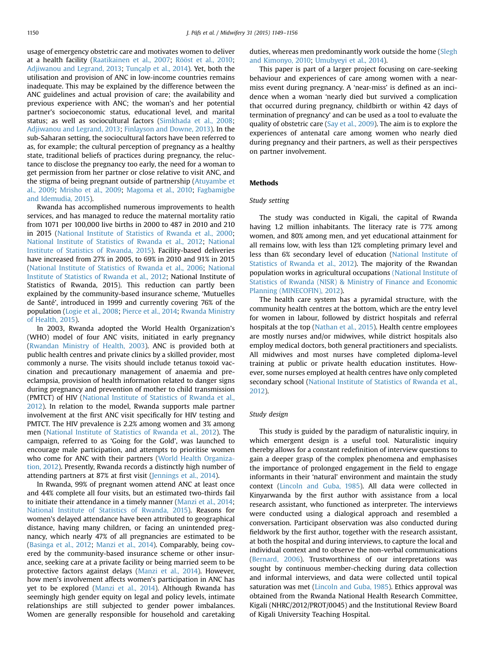usage of emergency obstetric care and motivates women to deliver at a health facility [\(Raatikainen et al., 2007;](#page-7-0) [Rööst et al., 2010;](#page-7-0) [Adjiwanou and Legrand, 2013;](#page-6-0) [Tunçalp et al., 2014\)](#page-7-0). Yet, both the utilisation and provision of ANC in low-income countries remains inadequate. This may be explained by the difference between the ANC guidelines and actual provision of care; the availability and previous experience with ANC; the woman's and her potential partner's socioeconomic status, educational level, and marital status; as well as sociocultural factors [\(Simkhada et al., 2008;](#page-7-0) [Adjiwanou and Legrand, 2013](#page-6-0); [Finlayson and Downe, 2013](#page-6-0)). In the sub-Saharan setting, the sociocultural factors have been referred to as, for example; the cultural perception of pregnancy as a healthy state, traditional beliefs of practices during pregnancy, the reluctance to disclose the pregnancy too early, the need for a woman to get permission from her partner or close relative to visit ANC, and the stigma of being pregnant outside of partnership [\(Atuyambe et](#page-6-0) [al., 2009;](#page-6-0) [Mrisho et al., 2009;](#page-6-0) [Magoma et al., 2010](#page-6-0); [Fagbamigbe](#page-6-0) [and Idemudia, 2015](#page-6-0)).

Rwanda has accomplished numerous improvements to health services, and has managed to reduce the maternal mortality ratio from 1071 per 100,000 live births in 2000 to 487 in 2010 and 210 in 2015 [\(National Institute of Statistics of Rwanda et al., 2000;](#page-7-0) [National Institute of Statistics of Rwanda et al., 2012;](#page-7-0) [National](#page-7-0) [Institute of Statistics of Rwanda, 2015\)](#page-7-0). Facility-based deliveries have increased from 27% in 2005, to 69% in 2010 and 91% in 2015 ([National Institute of Statistics of Rwanda et al., 2006](#page-7-0); [National](#page-7-0) [Institute of Statistics of Rwanda et al., 2012;](#page-7-0) National Institute of Statistics of Rwanda, 2015). This reduction can partly been explained by the community-based insurance scheme, 'Mutuelles de Santé', introduced in 1999 and currently covering 76% of the population [\(Logie et al., 2008](#page-6-0); [Pierce et al., 2014;](#page-7-0) [Rwanda Ministry](#page-7-0) [of Health, 2015\)](#page-7-0).

In 2003, Rwanda adopted the World Health Organization's (WHO) model of four ANC visits, initiated in early pregnancy ([Rwandan Ministry of Health, 2003](#page-7-0)). ANC is provided both at public health centres and private clinics by a skilled provider, most commonly a nurse. The visits should include tetanus toxoid vaccination and precautionary management of anaemia and preeclampsia, provision of health information related to danger signs during pregnancy and prevention of mother to child transmission (PMTCT) of HIV ([National Institute of Statistics of Rwanda et al.,](#page-7-0) [2012](#page-7-0)). In relation to the model, Rwanda supports male partner involvement at the first ANC visit specifically for HIV testing and PMTCT. The HIV prevalence is 2.2% among women and 3% among men [\(National Institute of Statistics of Rwanda et al., 2012\)](#page-7-0). The campaign, referred to as 'Going for the Gold', was launched to encourage male participation, and attempts to prioritise women who come for ANC with their partners [\(World Health Organiza](#page-7-0)[tion, 2012\)](#page-7-0). Presently, Rwanda records a distinctly high number of attending partners at 87% at first visit ([Jennings et al., 2014](#page-6-0)).

In Rwanda, 99% of pregnant women attend ANC at least once and 44% complete all four visits, but an estimated two-thirds fail to initiate their attendance in a timely manner [\(Manzi et al., 2014;](#page-6-0) [National Institute of Statistics of Rwanda, 2015](#page-7-0)). Reasons for women's delayed attendance have been attributed to geographical distance, having many children, or facing an unintended pregnancy, which nearly 47% of all pregnancies are estimated to be ([Basinga et al., 2012](#page-6-0); [Manzi et al., 2014](#page-6-0)). Comparably, being covered by the community-based insurance scheme or other insurance, seeking care at a private facility or being married seem to be protective factors against delays ([Manzi et al., 2014](#page-6-0)). However, how men's involvement affects women's participation in ANC has yet to be explored ([Manzi et al., 2014](#page-6-0)). Although Rwanda has seemingly high gender equity on legal and policy levels, intimate relationships are still subjected to gender power imbalances. Women are generally responsible for household and caretaking duties, whereas men predominantly work outside the home [\(Slegh](#page-7-0) [and Kimonyo, 2010](#page-7-0); [Umubyeyi et al., 2014\)](#page-7-0).

This paper is part of a larger project focusing on care-seeking behaviour and experiences of care among women with a nearmiss event during pregnancy. A 'near-miss' is defined as an incidence when a woman 'nearly died but survived a complication that occurred during pregnancy, childbirth or within 42 days of termination of pregnancy' and can be used as a tool to evaluate the quality of obstetric care ([Say et al., 2009](#page-7-0)). The aim is to explore the experiences of antenatal care among women who nearly died during pregnancy and their partners, as well as their perspectives on partner involvement.

# Methods

## Study setting

The study was conducted in Kigali, the capital of Rwanda having 1.2 million inhabitants. The literacy rate is 77% among women, and 80% among men, and yet educational attainment for all remains low, with less than 12% completing primary level and less than 6% secondary level of education ([National Institute of](#page-7-0) [Statistics of Rwanda et al., 2012\)](#page-7-0). The majority of the Rwandan population works in agricultural occupations [\(National Institute of](#page-7-0) [Statistics of Rwanda \(NISR\) & Ministry of Finance and Economic](#page-7-0) [Planning \(MINECOFIN\), 2012](#page-7-0)).

The health care system has a pyramidal structure, with the community health centres at the bottom, which are the entry level for women in labour, followed by district hospitals and referral hospitals at the top [\(Nathan et al., 2015](#page-7-0)). Health centre employees are mostly nurses and/or midwives, while district hospitals also employ medical doctors, both general practitioners and specialists. All midwives and most nurses have completed diploma-level training at public or private health education institutes. However, some nurses employed at health centres have only completed secondary school [\(National Institute of Statistics of Rwanda et al.,](#page-7-0) [2012](#page-7-0)).

## Study design

This study is guided by the paradigm of naturalistic inquiry, in which emergent design is a useful tool. Naturalistic inquiry thereby allows for a constant redefinition of interview questions to gain a deeper grasp of the complex phenomena and emphasises the importance of prolonged engagement in the field to engage informants in their 'natural' environment and maintain the study context [\(Lincoln and Guba, 1985](#page-6-0)). All data were collected in Kinyarwanda by the first author with assistance from a local research assistant, who functioned as interpreter. The interviews were conducted using a dialogical approach and resembled a conversation. Participant observation was also conducted during fieldwork by the first author, together with the research assistant, at both the hospital and during interviews, to capture the local and individual context and to observe the non-verbal communications ([Bernard, 2006](#page-6-0)). Trustworthiness of our interpretations was sought by continuous member-checking during data collection and informal interviews, and data were collected until topical saturation was met ([Lincoln and Guba, 1985\)](#page-6-0). Ethics approval was obtained from the Rwanda National Health Research Committee, Kigali (NHRC/2012/PROT/0045) and the Institutional Review Board of Kigali University Teaching Hospital.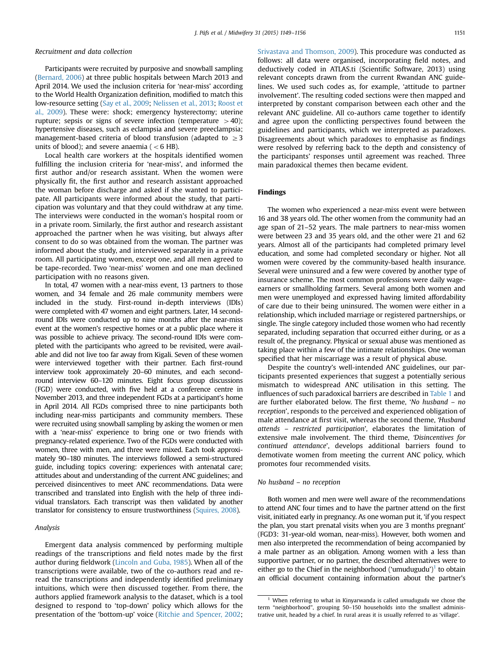# Recruitment and data collection

Participants were recruited by purposive and snowball sampling [\(Bernard, 2006](#page-6-0)) at three public hospitals between March 2013 and April 2014. We used the inclusion criteria for 'near-miss' according to the World Health Organization definition, modified to match this low-resource setting [\(Say et al., 2009](#page-7-0); [Nelissen et al., 2013](#page-7-0); [Roost et](#page-7-0) [al., 2009\)](#page-7-0). These were: shock; emergency hysterectomy; uterine rupture; sepsis or signs of severe infection (temperature  $>40$ ); hypertensive diseases, such as eclampsia and severe preeclampsia; management-based criteria of blood transfusion (adapted to  $>$  3 units of blood); and severe anaemia  $($  < 6 HB).

Local health care workers at the hospitals identified women fulfilling the inclusion criteria for 'near-miss', and informed the first author and/or research assistant. When the women were physically fit, the first author and research assistant approached the woman before discharge and asked if she wanted to participate. All participants were informed about the study, that participation was voluntary and that they could withdraw at any time. The interviews were conducted in the woman's hospital room or in a private room. Similarly, the first author and research assistant approached the partner when he was visiting, but always after consent to do so was obtained from the woman. The partner was informed about the study, and interviewed separately in a private room. All participating women, except one, and all men agreed to be tape-recorded. Two 'near-miss' women and one man declined participation with no reasons given.

In total, 47 women with a near-miss event, 13 partners to those women, and 34 female and 26 male community members were included in the study. First-round in-depth interviews (IDIs) were completed with 47 women and eight partners. Later, 14 secondround IDIs were conducted up to nine months after the near-miss event at the women's respective homes or at a public place where it was possible to achieve privacy. The second-round IDIs were completed with the participants who agreed to be revisited, were available and did not live too far away from Kigali. Seven of these women were interviewed together with their partner. Each first-round interview took approximately 20–60 minutes, and each secondround interview 60–120 minutes. Eight focus group discussions (FGD) were conducted, with five held at a conference centre in November 2013, and three independent FGDs at a participant's home in April 2014. All FGDs comprised three to nine participants both including near-miss participants and community members. These were recruited using snowball sampling by asking the women or men with a 'near-miss' experience to bring one or two friends with pregnancy-related experience. Two of the FGDs were conducted with women, three with men, and three were mixed. Each took approximately 90–180 minutes. The interviews followed a semi-structured guide, including topics covering: experiences with antenatal care; attitudes about and understanding of the current ANC guidelines; and perceived disincentives to meet ANC recommendations. Data were transcribed and translated into English with the help of three individual translators. Each transcript was then validated by another translator for consistency to ensure trustworthiness ([Squires, 2008\)](#page-7-0).

### Analysis

Emergent data analysis commenced by performing multiple readings of the transcriptions and field notes made by the first author during fieldwork [\(Lincoln and Guba, 1985](#page-6-0)). When all of the transcriptions were available, two of the co-authors read and reread the transcriptions and independently identified preliminary intuitions, which were then discussed together. From there, the authors applied framework analysis to the dataset, which is a tool designed to respond to 'top-down' policy which allows for the presentation of the 'bottom-up' voice [\(Ritchie and Spencer, 2002;](#page-7-0) [Srivastava and Thomson, 2009\)](#page-7-0). This procedure was conducted as follows: all data were organised, incorporating field notes, and deductively coded in ATLAS.ti (Scientific Software, 2013) using relevant concepts drawn from the current Rwandan ANC guidelines. We used such codes as, for example, 'attitude to partner involvement'. The resulting coded sections were then mapped and interpreted by constant comparison between each other and the relevant ANC guideline. All co-authors came together to identify and agree upon the conflicting perspectives found between the guidelines and participants, which we interpreted as paradoxes. Disagreements about which paradoxes to emphasise as findings were resolved by referring back to the depth and consistency of the participants' responses until agreement was reached. Three main paradoxical themes then became evident.

# Findings

The women who experienced a near-miss event were between 16 and 38 years old. The other women from the community had an age span of 21–52 years. The male partners to near-miss women were between 23 and 35 years old, and the other were 21 and 62 years. Almost all of the participants had completed primary level education, and some had completed secondary or higher. Not all women were covered by the community-based health insurance. Several were uninsured and a few were covered by another type of insurance scheme. The most common professions were daily wageearners or smallholding farmers. Several among both women and men were unemployed and expressed having limited affordability of care due to their being uninsured. The women were either in a relationship, which included marriage or registered partnerships, or single. The single category included those women who had recently separated, including separation that occurred either during, or as a result of, the pregnancy. Physical or sexual abuse was mentioned as taking place within a few of the intimate relationships. One woman specified that her miscarriage was a result of physical abuse.

Despite the country's well-intended ANC guidelines, our participants presented experiences that suggest a potentially serious mismatch to widespread ANC utilisation in this setting. The influences of such paradoxical barriers are described in [Table 1](#page-3-0) and are further elaborated below. The first theme, 'No husband – no reception', responds to the perceived and experienced obligation of male attendance at first visit, whereas the second theme, 'Husband attends – restricted participation', elaborates the limitation of extensive male involvement. The third theme, 'Disincentives for continued attendance', develops additional barriers found to demotivate women from meeting the current ANC policy, which promotes four recommended visits.

#### No husband – no reception

Both women and men were well aware of the recommendations to attend ANC four times and to have the partner attend on the first visit, initiated early in pregnancy. As one woman put it, 'if you respect the plan, you start prenatal visits when you are 3 months pregnant' (FGD3: 31-year-old woman, near-miss). However, both women and men also interpreted the recommendation of being accompanied by a male partner as an obligation. Among women with a less than supportive partner, or no partner, the described alternatives were to either go to the Chief in the neighborhood  $($ 'umudugudu' $)^1$  to obtain an official document containing information about the partner's

<sup>1</sup> When referring to what in Kinyarwanda is called umudugudu we chose the term "neighborhood", grouping 50–150 households into the smallest administrative unit, headed by a chief. In rural areas it is usually referred to as 'village'.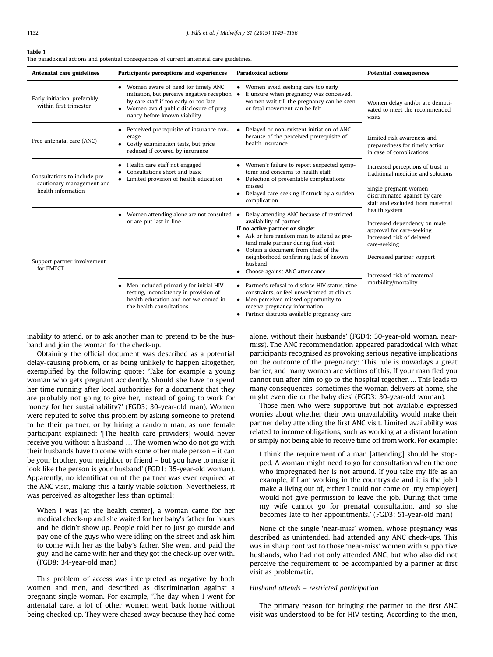# <span id="page-3-0"></span>Table 1

| The paradoxical actions and potential consequences of current antenatal care guidelines. |  |  |  |  |  |
|------------------------------------------------------------------------------------------|--|--|--|--|--|
|                                                                                          |  |  |  |  |  |
|                                                                                          |  |  |  |  |  |

| Antenatal care guidelines                                                        | Participants perceptions and experiences                                                                                                                                                                        | <b>Paradoxical actions</b>                                                                                                                                                                                                                                                                                                       | <b>Potential consequences</b>                                                                                                                                                                                                                                                                                                                                                                                                                                                                                                                               |  |
|----------------------------------------------------------------------------------|-----------------------------------------------------------------------------------------------------------------------------------------------------------------------------------------------------------------|----------------------------------------------------------------------------------------------------------------------------------------------------------------------------------------------------------------------------------------------------------------------------------------------------------------------------------|-------------------------------------------------------------------------------------------------------------------------------------------------------------------------------------------------------------------------------------------------------------------------------------------------------------------------------------------------------------------------------------------------------------------------------------------------------------------------------------------------------------------------------------------------------------|--|
| Early initiation, preferably<br>within first trimester                           | Women aware of need for timely ANC<br>initiation, but perceive negative reception $\bullet$<br>by care staff if too early or too late<br>Women avoid public disclosure of preg-<br>nancy before known viability | Women avoid seeking care too early<br>$\bullet$<br>If unsure when pregnancy was conceived,<br>women wait till the pregnancy can be seen<br>or fetal movement can be felt                                                                                                                                                         | Women delay and/or are demoti-<br>vated to meet the recommended<br>visits<br>Limited risk awareness and<br>preparedness for timely action<br>in case of complications<br>Increased perceptions of trust in<br>traditional medicine and solutions<br>Single pregnant women<br>discriminated against by care<br>staff and excluded from maternal<br>health system<br>Increased dependency on male<br>approval for care-seeking<br>Increased risk of delayed<br>care-seeking<br>Decreased partner support<br>Increased risk of maternal<br>morbidity/mortality |  |
| Free antenatal care (ANC)                                                        | Perceived prerequisite of insurance cov-<br>erage<br>Costly examination tests, but price<br>reduced if covered by insurance                                                                                     | Delayed or non-existent initiation of ANC<br>because of the perceived prerequisite of<br>health insurance                                                                                                                                                                                                                        |                                                                                                                                                                                                                                                                                                                                                                                                                                                                                                                                                             |  |
| Consultations to include pre-<br>cautionary management and<br>health information | Health care staff not engaged<br>Consultations short and basic<br>Limited provision of health education                                                                                                         | • Women's failure to report suspected symp-<br>toms and concerns to health staff<br>Detection of preventable complications<br>$\bullet$<br>missed<br>Delayed care-seeking if struck by a sudden<br>$\bullet$<br>complication                                                                                                     |                                                                                                                                                                                                                                                                                                                                                                                                                                                                                                                                                             |  |
| Support partner involvement<br>for PMTCT                                         | Women attending alone are not consulted •<br>or are put last in line                                                                                                                                            | Delay attending ANC because of restricted<br>availability of partner<br>If no active partner or single:<br>• Ask or hire random man to attend as pre-<br>tend male partner during first visit<br>• Obtain a document from chief of the<br>neighborhood confirming lack of known<br>husband<br>Choose against ANC attendance<br>٠ |                                                                                                                                                                                                                                                                                                                                                                                                                                                                                                                                                             |  |
|                                                                                  | Men included primarily for initial HIV<br>testing, inconsistency in provision of<br>health education and not welcomed in<br>the health consultations                                                            | • Partner's refusal to disclose HIV status, time<br>constraints, or feel unwelcomed at clinics<br>Men perceived missed opportunity to<br>$\bullet$<br>receive pregnancy information<br>• Partner distrusts available pregnancy care                                                                                              |                                                                                                                                                                                                                                                                                                                                                                                                                                                                                                                                                             |  |

inability to attend, or to ask another man to pretend to be the husband and join the woman for the check-up.

Obtaining the official document was described as a potential delay-causing problem, or as being unlikely to happen altogether, exemplified by the following quote: 'Take for example a young woman who gets pregnant accidently. Should she have to spend her time running after local authorities for a document that they are probably not going to give her, instead of going to work for money for her sustainability?' (FGD3: 30-year-old man). Women were reputed to solve this problem by asking someone to pretend to be their partner, or by hiring a random man, as one female participant explained: '[The health care providers] would never receive you without a husband … The women who do not go with their husbands have to come with some other male person – it can be your brother, your neighbor or friend – but you have to make it look like the person is your husband' (FGD1: 35-year-old woman). Apparently, no identification of the partner was ever required at the ANC visit, making this a fairly viable solution. Nevertheless, it was perceived as altogether less than optimal:

When I was [at the health center], a woman came for her medical check-up and she waited for her baby's father for hours and he didn't show up. People told her to just go outside and pay one of the guys who were idling on the street and ask him to come with her as the baby's father. She went and paid the guy, and he came with her and they got the check-up over with. (FGD8: 34-year-old man)

This problem of access was interpreted as negative by both women and men, and described as discrimination against a pregnant single woman. For example, 'The day when I went for antenatal care, a lot of other women went back home without being checked up. They were chased away because they had come alone, without their husbands' (FGD4: 30-year-old woman, nearmiss). The ANC recommendation appeared paradoxical with what participants recognised as provoking serious negative implications on the outcome of the pregnancy: 'This rule is nowadays a great barrier, and many women are victims of this. If your man fled you cannot run after him to go to the hospital together…. This leads to many consequences, sometimes the woman delivers at home, she might even die or the baby dies' (FGD3: 30-year-old woman).

Those men who were supportive but not available expressed worries about whether their own unavailability would make their partner delay attending the first ANC visit. Limited availability was related to income obligations, such as working at a distant location or simply not being able to receive time off from work. For example:

I think the requirement of a man [attending] should be stopped. A woman might need to go for consultation when the one who impregnated her is not around. If you take my life as an example, if I am working in the countryside and it is the job I make a living out of, either I could not come or [my employer] would not give permission to leave the job. During that time my wife cannot go for prenatal consultation, and so she becomes late to her appointments.' (FGD3: 51-year-old man)

None of the single 'near-miss' women, whose pregnancy was described as unintended, had attended any ANC check-ups. This was in sharp contrast to those 'near-miss' women with supportive husbands, who had not only attended ANC, but who also did not perceive the requirement to be accompanied by a partner at first visit as problematic.

## Husband attends – restricted participation

The primary reason for bringing the partner to the first ANC visit was understood to be for HIV testing. According to the men,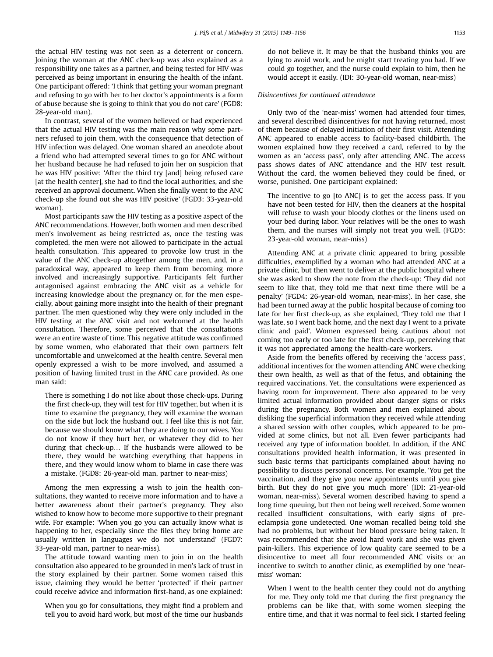the actual HIV testing was not seen as a deterrent or concern. Joining the woman at the ANC check-up was also explained as a responsibility one takes as a partner, and being tested for HIV was perceived as being important in ensuring the health of the infant. One participant offered: 'I think that getting your woman pregnant and refusing to go with her to her doctor's appointments is a form of abuse because she is going to think that you do not care' (FGD8: 28-year-old man).

In contrast, several of the women believed or had experienced that the actual HIV testing was the main reason why some partners refused to join them, with the consequence that detection of HIV infection was delayed. One woman shared an anecdote about a friend who had attempted several times to go for ANC without her husband because he had refused to join her on suspicion that he was HIV positive: 'After the third try [and] being refused care [at the health center], she had to find the local authorities, and she received an approval document. When she finally went to the ANC check-up she found out she was HIV positive' (FGD3: 33-year-old woman).

Most participants saw the HIV testing as a positive aspect of the ANC recommendations. However, both women and men described men's involvement as being restricted as, once the testing was completed, the men were not allowed to participate in the actual health consultation. This appeared to provoke low trust in the value of the ANC check-up altogether among the men, and, in a paradoxical way, appeared to keep them from becoming more involved and increasingly supportive. Participants felt further antagonised against embracing the ANC visit as a vehicle for increasing knowledge about the pregnancy or, for the men especially, about gaining more insight into the health of their pregnant partner. The men questioned why they were only included in the HIV testing at the ANC visit and not welcomed at the health consultation. Therefore, some perceived that the consultations were an entire waste of time. This negative attitude was confirmed by some women, who elaborated that their own partners felt uncomfortable and unwelcomed at the health centre. Several men openly expressed a wish to be more involved, and assumed a position of having limited trust in the ANC care provided. As one man said:

There is something I do not like about those check-ups. During the first check-up, they will test for HIV together, but when it is time to examine the pregnancy, they will examine the woman on the side but lock the husband out. I feel like this is not fair, because we should know what they are doing to our wives. You do not know if they hurt her, or whatever they did to her during that check-up… If the husbands were allowed to be there, they would be watching everything that happens in there, and they would know whom to blame in case there was a mistake. (FGD8: 26-year-old man, partner to near-miss)

Among the men expressing a wish to join the health consultations, they wanted to receive more information and to have a better awareness about their partner's pregnancy. They also wished to know how to become more supportive to their pregnant wife. For example: 'When you go you can actually know what is happening to her, especially since the files they bring home are usually written in languages we do not understand' (FGD7: 33-year-old man, partner to near-miss).

The attitude toward wanting men to join in on the health consultation also appeared to be grounded in men's lack of trust in the story explained by their partner. Some women raised this issue, claiming they would be better 'protected' if their partner could receive advice and information first-hand, as one explained:

When you go for consultations, they might find a problem and tell you to avoid hard work, but most of the time our husbands do not believe it. It may be that the husband thinks you are lying to avoid work, and he might start treating you bad. If we could go together, and the nurse could explain to him, then he would accept it easily. (IDI: 30-year-old woman, near-miss)

### Disincentives for continued attendance

Only two of the 'near-miss' women had attended four times, and several described disincentives for not having returned, most of them because of delayed initiation of their first visit. Attending ANC appeared to enable access to facility-based childbirth. The women explained how they received a card, referred to by the women as an 'access pass', only after attending ANC. The access pass shows dates of ANC attendance and the HIV test result. Without the card, the women believed they could be fined, or worse, punished. One participant explained:

The incentive to go [to ANC] is to get the access pass. If you have not been tested for HIV, then the cleaners at the hospital will refuse to wash your bloody clothes or the linens used on your bed during labor. Your relatives will be the ones to wash them, and the nurses will simply not treat you well. (FGD5: 23-year-old woman, near-miss)

Attending ANC at a private clinic appeared to bring possible difficulties, exemplified by a woman who had attended ANC at a private clinic, but then went to deliver at the public hospital where she was asked to show the note from the check-up: 'They did not seem to like that, they told me that next time there will be a penalty' (FGD4: 26-year-old woman, near-miss). In her case, she had been turned away at the public hospital because of coming too late for her first check-up, as she explained, 'They told me that I was late, so I went back home, and the next day I went to a private clinic and paid'. Women expressed being cautious about not coming too early or too late for the first check-up, perceiving that it was not appreciated among the health-care workers.

Aside from the benefits offered by receiving the 'access pass', additional incentives for the women attending ANC were checking their own health, as well as that of the fetus, and obtaining the required vaccinations. Yet, the consultations were experienced as having room for improvement. There also appeared to be very limited actual information provided about danger signs or risks during the pregnancy. Both women and men explained about disliking the superficial information they received while attending a shared session with other couples, which appeared to be provided at some clinics, but not all. Even fewer participants had received any type of information booklet. In addition, if the ANC consultations provided health information, it was presented in such basic terms that participants complained about having no possibility to discuss personal concerns. For example, 'You get the vaccination, and they give you new appointments until you give birth. But they do not give you much more' (IDI: 21-year-old woman, near-miss). Several women described having to spend a long time queuing, but then not being well received. Some women recalled insufficient consultations, with early signs of preeclampsia gone undetected. One woman recalled being told she had no problems, but without her blood pressure being taken. It was recommended that she avoid hard work and she was given pain-killers. This experience of low quality care seemed to be a disincentive to meet all four recommended ANC visits or an incentive to switch to another clinic, as exemplified by one 'nearmiss' woman:

When I went to the health center they could not do anything for me. They only told me that during the first pregnancy the problems can be like that, with some women sleeping the entire time, and that it was normal to feel sick. I started feeling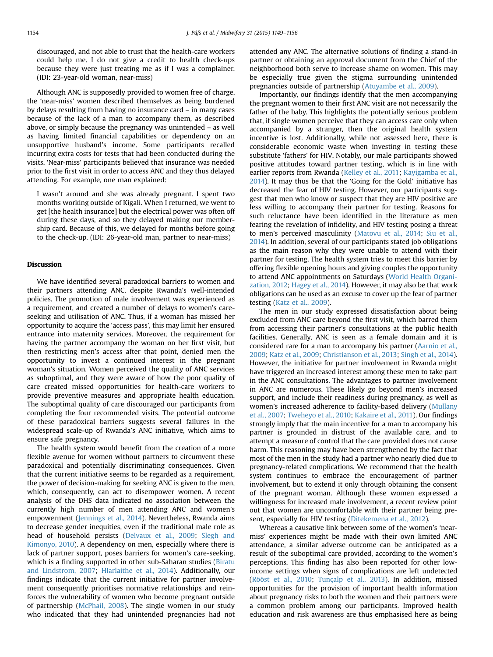discouraged, and not able to trust that the health-care workers could help me. I do not give a credit to health check-ups because they were just treating me as if I was a complainer. (IDI: 23-year-old woman, near-miss)

Although ANC is supposedly provided to women free of charge, the 'near-miss' women described themselves as being burdened by delays resulting from having no insurance card – in many cases because of the lack of a man to accompany them, as described above, or simply because the pregnancy was unintended – as well as having limited financial capabilities or dependency on an unsupportive husband's income. Some participants recalled incurring extra costs for tests that had been conducted during the visits. 'Near-miss' participants believed that insurance was needed prior to the first visit in order to access ANC and they thus delayed attending. For example, one man explained:

I wasn't around and she was already pregnant. I spent two months working outside of Kigali. When I returned, we went to get [the health insurance] but the electrical power was often off during these days, and so they delayed making our membership card. Because of this, we delayed for months before going to the check-up. (IDI: 26-year-old man, partner to near-miss)

## Discussion

We have identified several paradoxical barriers to women and their partners attending ANC, despite Rwanda's well-intended policies. The promotion of male involvement was experienced as a requirement, and created a number of delays to women's careseeking and utilisation of ANC. Thus, if a woman has missed her opportunity to acquire the 'access pass', this may limit her ensured entrance into maternity services. Moreover, the requirement for having the partner accompany the woman on her first visit, but then restricting men's access after that point, denied men the opportunity to invest a continued interest in the pregnant woman's situation. Women perceived the quality of ANC services as suboptimal, and they were aware of how the poor quality of care created missed opportunities for health-care workers to provide preventive measures and appropriate health education. The suboptimal quality of care discouraged our participants from completing the four recommended visits. The potential outcome of these paradoxical barriers suggests several failures in the widespread scale-up of Rwanda's ANC initiative, which aims to ensure safe pregnancy.

The health system would benefit from the creation of a more flexible avenue for women without partners to circumvent these paradoxical and potentially discriminating consequences. Given that the current initiative seems to be regarded as a requirement, the power of decision-making for seeking ANC is given to the men, which, consequently, can act to disempower women. A recent analysis of the DHS data indicated no association between the currently high number of men attending ANC and women's empowerment ([Jennings et al., 2014](#page-6-0)). Nevertheless, Rwanda aims to decrease gender inequities, even if the traditional male role as head of household persists ([Delvaux et al., 2009](#page-6-0); [Slegh and](#page-7-0) [Kimonyo, 2010](#page-7-0)). A dependency on men, especially where there is lack of partner support, poses barriers for women's care-seeking, which is a finding supported in other sub-Saharan studies ([Biratu](#page-6-0) [and Lindstrom, 2007](#page-6-0); [HIarlaithe et al., 2014](#page-6-0)). Additionally, our findings indicate that the current initiative for partner involvement consequently prioritises normative relationships and reinforces the vulnerability of women who become pregnant outside of partnership ([McPhail, 2008](#page-6-0)). The single women in our study who indicated that they had unintended pregnancies had not attended any ANC. The alternative solutions of finding a stand-in partner or obtaining an approval document from the Chief of the neighborhood both serve to increase shame on women. This may be especially true given the stigma surrounding unintended pregnancies outside of partnership ([Atuyambe et al., 2009\)](#page-6-0).

Importantly, our findings identify that the men accompanying the pregnant women to their first ANC visit are not necessarily the father of the baby. This highlights the potentially serious problem that, if single women perceive that they can access care only when accompanied by a stranger, then the original health system incentive is lost. Additionally, while not assessed here, there is considerable economic waste when investing in testing these substitute 'fathers' for HIV. Notably, our male participants showed positive attitudes toward partner testing, which is in line with earlier reports from Rwanda ([Kelley et al., 2011](#page-6-0); [Kayigamba et al.,](#page-6-0) [2014\)](#page-6-0). It may thus be that the 'Going for the Gold' initiative has decreased the fear of HIV testing. However, our participants suggest that men who know or suspect that they are HIV positive are less willing to accompany their partner for testing. Reasons for such reluctance have been identified in the literature as men fearing the revelation of infidelity, and HIV testing posing a threat to men's perceived masculinity ([Matovu et al., 2014](#page-6-0); [Siu et al.,](#page-7-0) [2014\)](#page-7-0). In addition, several of our participants stated job obligations as the main reason why they were unable to attend with their partner for testing. The health system tries to meet this barrier by offering flexible opening hours and giving couples the opportunity to attend ANC appointments on Saturdays ([World Health Organi](#page-7-0)[zation, 2012](#page-7-0); [Hagey et al., 2014\)](#page-6-0). However, it may also be that work obligations can be used as an excuse to cover up the fear of partner testing [\(Katz et al., 2009](#page-6-0)).

The men in our study expressed dissatisfaction about being excluded from ANC care beyond the first visit, which barred them from accessing their partner's consultations at the public health facilities. Generally, ANC is seen as a female domain and it is considered rare for a man to accompany his partner ([Aarnio et al.,](#page-6-0) [2009;](#page-6-0) [Katz et al., 2009;](#page-6-0) [Christianson et al., 2013;](#page-6-0) [Singh et al., 2014\)](#page-7-0). However, the initiative for partner involvement in Rwanda might have triggered an increased interest among these men to take part in the ANC consultations. The advantages to partner involvement in ANC are numerous. These likely go beyond men's increased support, and include their readiness during pregnancy, as well as women's increased adherence to facility-based delivery ([Mullany](#page-7-0) [et al., 2007;](#page-7-0) [Tweheyo et al., 2010;](#page-7-0) [Kakaire et al., 2011](#page-6-0)). Our findings strongly imply that the main incentive for a man to accompany his partner is grounded in distrust of the available care, and to attempt a measure of control that the care provided does not cause harm. This reasoning may have been strengthened by the fact that most of the men in the study had a partner who nearly died due to pregnancy-related complications. We recommend that the health system continues to embrace the encouragement of partner involvement, but to extend it only through obtaining the consent of the pregnant woman. Although these women expressed a willingness for increased male involvement, a recent review point out that women are uncomfortable with their partner being present, especially for HIV testing [\(Ditekemena et al., 2012](#page-6-0)).

Whereas a causative link between some of the women's 'nearmiss' experiences might be made with their own limited ANC attendance, a similar adverse outcome can be anticipated as a result of the suboptimal care provided, according to the women's perceptions. This finding has also been reported for other lowincome settings when signs of complications are left undetected ([Rööst et al., 2010;](#page-7-0) [Tunçalp et al., 2013](#page-7-0)). In addition, missed opportunities for the provision of important health information about pregnancy risks to both the women and their partners were a common problem among our participants. Improved health education and risk awareness are thus emphasised here as being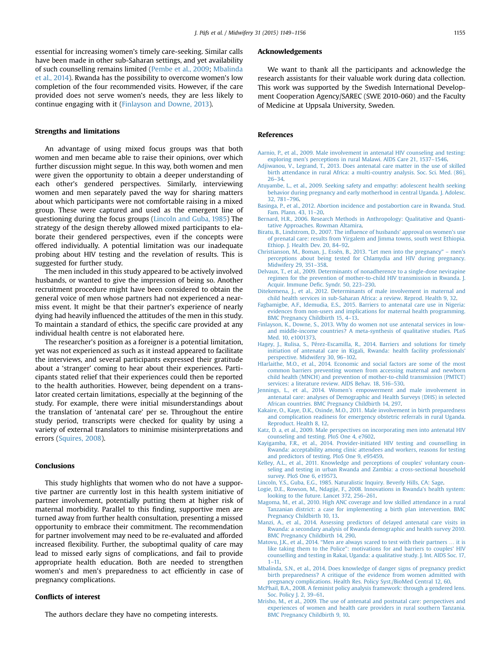<span id="page-6-0"></span>essential for increasing women's timely care-seeking. Similar calls have been made in other sub-Saharan settings, and yet availability of such counselling remains limited ([Pembe et al., 2009;](#page-7-0) Mbalinda et al., 2014). Rwanda has the possibility to overcome women's low completion of the four recommended visits. However, if the care provided does not serve women's needs, they are less likely to continue engaging with it (Finlayson and Downe, 2013).

## Strengths and limitations

An advantage of using mixed focus groups was that both women and men became able to raise their opinions, over which further discussion might segue. In this way, both women and men were given the opportunity to obtain a deeper understanding of each other's gendered perspectives. Similarly, interviewing women and men separately paved the way for sharing matters about which participants were not comfortable raising in a mixed group. These were captured and used as the emergent line of questioning during the focus groups (Lincoln and Guba, 1985) The strategy of the design thereby allowed mixed participants to elaborate their gendered perspectives, even if the concepts were offered individually. A potential limitation was our inadequate probing about HIV testing and the revelation of results. This is suggested for further study.

The men included in this study appeared to be actively involved husbands, or wanted to give the impression of being so. Another recruitment procedure might have been considered to obtain the general voice of men whose partners had not experienced a nearmiss event. It might be that their partner's experience of nearly dying had heavily influenced the attitudes of the men in this study. To maintain a standard of ethics, the specific care provided at any individual health centre is not elaborated here.

The researcher's position as a foreigner is a potential limitation, yet was not experienced as such as it instead appeared to facilitate the interviews, and several participants expressed their gratitude about a 'stranger' coming to hear about their experiences. Participants stated relief that their experiences could then be reported to the health authorities. However, being dependent on a translator created certain limitations, especially at the beginning of the study. For example, there were initial misunderstandings about the translation of 'antenatal care' per se. Throughout the entire study period, transcripts were checked for quality by using a variety of external translators to minimise misinterpretations and errors ([Squires, 2008](#page-7-0)).

#### Conclusions

This study highlights that women who do not have a supportive partner are currently lost in this health system initiative of partner involvement, potentially putting them at higher risk of maternal morbidity. Parallel to this finding, supportive men are turned away from further health consultation, presenting a missed opportunity to embrace their commitment. The recommendation for partner involvement may need to be re-evaluated and afforded increased flexibility. Further, the suboptimal quality of care may lead to missed early signs of complications, and fail to provide appropriate health education. Both are needed to strengthen women's and men's preparedness to act efficiently in case of pregnancy complications.

# Conflicts of interest

The authors declare they have no competing interests.

#### Acknowledgements

We want to thank all the participants and acknowledge the research assistants for their valuable work during data collection. This work was supported by the Swedish International Development Cooperation Agency/SAREC (SWE 2010-060) and the Faculty of Medicine at Uppsala University, Sweden.

# References

- [Aarnio, P., et al., 2009. Male involvement in antenatal HIV counseling and testing:](http://refhub.elsevier.com/S0266-6138(15)00256-9/sbref1) exploring men'[s perceptions in rural Malawi. AIDS Care 21, 1537](http://refhub.elsevier.com/S0266-6138(15)00256-9/sbref1)–1546.
- [Adjiwanou, V., Legrand, T., 2013. Does antenatal care matter in the use of skilled](http://refhub.elsevier.com/S0266-6138(15)00256-9/sbref2) [birth attendance in rural Africa: a multi-country analysis. Soc. Sci. Med. \(86\),](http://refhub.elsevier.com/S0266-6138(15)00256-9/sbref2) [26](http://refhub.elsevier.com/S0266-6138(15)00256-9/sbref2)–[34.](http://refhub.elsevier.com/S0266-6138(15)00256-9/sbref2)
- [Atuyambe, L., et al., 2009. Seeking safety and empathy: adolescent health seeking](http://refhub.elsevier.com/S0266-6138(15)00256-9/sbref3) [behavior during pregnancy and early motherhood in central Uganda. J. Adolesc.](http://refhub.elsevier.com/S0266-6138(15)00256-9/sbref3) [32, 781](http://refhub.elsevier.com/S0266-6138(15)00256-9/sbref3)–796.
- [Basinga, P., et al., 2012. Abortion incidence and postabortion care in Rwanda. Stud.](http://refhub.elsevier.com/S0266-6138(15)00256-9/sbref4) [Fam. Plann. 43, 11](http://refhub.elsevier.com/S0266-6138(15)00256-9/sbref4)–20.
- [Bernard, H.R., 2006. Research Methods in Anthropology: Qualitative and Quanti](http://refhub.elsevier.com/S0266-6138(15)00256-9/sbref5)[tative Approaches. Rowman Altamira.](http://refhub.elsevier.com/S0266-6138(15)00256-9/sbref5)
- [Biratu, B., Lindstrom, D., 2007. The in](http://refhub.elsevier.com/S0266-6138(15)00256-9/sbref6)fluence of husbands' approval on women's use [of prenatal care: results from Yirgalem and Jimma towns, south west Ethiopia.](http://refhub.elsevier.com/S0266-6138(15)00256-9/sbref6) [Ethiop. J. Health Dev. 20, 84](http://refhub.elsevier.com/S0266-6138(15)00256-9/sbref6)–92.
- [Christianson, M., Boman, J., Essén, B., 2013.](http://refhub.elsevier.com/S0266-6138(15)00256-9/sbref7) "Let men into the pregnancy" men's [perceptions about being tested for Chlamydia and HIV during pregnancy.](http://refhub.elsevier.com/S0266-6138(15)00256-9/sbref7) [Midwifery 29, 351](http://refhub.elsevier.com/S0266-6138(15)00256-9/sbref7)–358.
- [Delvaux, T., et al., 2009. Determinants of nonadherence to a single-dose nevirapine](http://refhub.elsevier.com/S0266-6138(15)00256-9/sbref8) [regimen for the prevention of mother-to-child HIV transmission in Rwanda. J.](http://refhub.elsevier.com/S0266-6138(15)00256-9/sbref8) [Acquir. Immune De](http://refhub.elsevier.com/S0266-6138(15)00256-9/sbref8)fic. Syndr. 50, 223–230.
- [Ditekemena, J., et al., 2012. Determinants of male involvement in maternal and](http://refhub.elsevier.com/S0266-6138(15)00256-9/sbref9) [child health services in sub-Saharan Africa: a review. Reprod. Health 9, 32.](http://refhub.elsevier.com/S0266-6138(15)00256-9/sbref9)
- [Fagbamigbe, A.F., Idemudia, E.S., 2015. Barriers to antenatal care use in Nigeria:](http://refhub.elsevier.com/S0266-6138(15)00256-9/sbref10) [evidences from non-users and implications for maternal health programming.](http://refhub.elsevier.com/S0266-6138(15)00256-9/sbref10) [BMC Pregnancy Childbirth 15, 4](http://refhub.elsevier.com/S0266-6138(15)00256-9/sbref10)–13.
- [Finlayson, K., Downe, S., 2013. Why do women not use antenatal services in low](http://refhub.elsevier.com/S0266-6138(15)00256-9/sbref11)[and middle-income countries? A meta-synthesis of qualitative studies. PLoS](http://refhub.elsevier.com/S0266-6138(15)00256-9/sbref11) [Med. 10, e1001373.](http://refhub.elsevier.com/S0266-6138(15)00256-9/sbref11)
- [Hagey, J., Rulisa, S., Pérez-Escamilla, R., 2014. Barriers and solutions for timely](http://refhub.elsevier.com/S0266-6138(15)00256-9/sbref12) [initiation of antenatal care in Kigali, Rwanda: health facility professionals](http://refhub.elsevier.com/S0266-6138(15)00256-9/sbref12)' [perspective. Midwifery 30, 96](http://refhub.elsevier.com/S0266-6138(15)00256-9/sbref12)–102.
- [HIarlaithe, M.O., et al., 2014. Economic and social factors are some of the most](http://refhub.elsevier.com/S0266-6138(15)00256-9/sbref13) [common barriers preventing women from accessing maternal and newborn](http://refhub.elsevier.com/S0266-6138(15)00256-9/sbref13) [child health \(MNCH\) and prevention of mother-to-child transmission \(PMTCT\)](http://refhub.elsevier.com/S0266-6138(15)00256-9/sbref13) [services: a literature review. AIDS Behav. 18, 516](http://refhub.elsevier.com/S0266-6138(15)00256-9/sbref13)–530.
- Jennings, L., et al., 2014. Women'[s empowerment and male involvement in](http://refhub.elsevier.com/S0266-6138(15)00256-9/sbref14) [antenatal care: analyses of Demographic and Health Surveys \(DHS\) in selected](http://refhub.elsevier.com/S0266-6138(15)00256-9/sbref14) [African countries. BMC Pregnancy Childbirth 14, 297.](http://refhub.elsevier.com/S0266-6138(15)00256-9/sbref14)
- [Kakaire, O., Kaye, D.K., Osinde, M.O., 2011. Male involvement in birth preparedness](http://refhub.elsevier.com/S0266-6138(15)00256-9/sbref15) [and complication readiness for emergency obstetric referrals in rural Uganda.](http://refhub.elsevier.com/S0266-6138(15)00256-9/sbref15) [Reproduct. Health 8, 12.](http://refhub.elsevier.com/S0266-6138(15)00256-9/sbref15)
- [Katz, D. a, et al., 2009. Male perspectives on incorporating men into antenatal HIV](http://refhub.elsevier.com/S0266-6138(15)00256-9/sbref16) [counseling and testing. PloS One 4, e7602.](http://refhub.elsevier.com/S0266-6138(15)00256-9/sbref16)
- [Kayigamba, F.R., et al., 2014. Provider-initiated HIV testing and counselling in](http://refhub.elsevier.com/S0266-6138(15)00256-9/sbref17) [Rwanda: acceptability among clinic attendees and workers, reasons for testing](http://refhub.elsevier.com/S0266-6138(15)00256-9/sbref17) [and predictors of testing. PloS One 9, e95459.](http://refhub.elsevier.com/S0266-6138(15)00256-9/sbref17)
- [Kelley, A.L., et al., 2011. Knowledge and perceptions of couples](http://refhub.elsevier.com/S0266-6138(15)00256-9/sbref18)' voluntary coun[seling and testing in urban Rwanda and Zambia: a cross-sectional household](http://refhub.elsevier.com/S0266-6138(15)00256-9/sbref18) [survey. PloS One 6, e19573.](http://refhub.elsevier.com/S0266-6138(15)00256-9/sbref18)
- [Lincoln, Y.S., Guba, E.G., 1985. Naturalistic Inquiry. Beverly Hills, CA: Sage.](http://refhub.elsevier.com/S0266-6138(15)00256-9/sbref19)
- [Logie, D.E., Rowson, M., Ndagije, F., 2008. Innovations in Rwanda](http://refhub.elsevier.com/S0266-6138(15)00256-9/sbref20)'s health system: [looking to the future. Lancet 372, 256](http://refhub.elsevier.com/S0266-6138(15)00256-9/sbref20)–261.
- [Magoma, M., et al., 2010. High ANC coverage and low skilled attendance in a rural](http://refhub.elsevier.com/S0266-6138(15)00256-9/sbref21) [Tanzanian district: a case for implementing a birth plan intervention. BMC](http://refhub.elsevier.com/S0266-6138(15)00256-9/sbref21) [Pregnancy Childbirth 10, 13.](http://refhub.elsevier.com/S0266-6138(15)00256-9/sbref21)
- [Manzi, A., et al., 2014. Assessing predictors of delayed antenatal care visits in](http://refhub.elsevier.com/S0266-6138(15)00256-9/sbref22) [Rwanda: a secondary analysis of Rwanda demographic and health survey 2010.](http://refhub.elsevier.com/S0266-6138(15)00256-9/sbref22) [BMC Pregnancy Childbirth 14, 290.](http://refhub.elsevier.com/S0266-6138(15)00256-9/sbref22)
- Matovu, J.K., et al., 2014. "[Men are always scared to test with their partners](http://refhub.elsevier.com/S0266-6138(15)00256-9/sbref23) .. like taking them to the Police"[: motivations for and barriers to couples](http://refhub.elsevier.com/S0266-6138(15)00256-9/sbref23)' HIV [counselling and testing in Rakai, Uganda: a qualitative study. J. Int. AIDS Soc. 17,](http://refhub.elsevier.com/S0266-6138(15)00256-9/sbref23) [1](http://refhub.elsevier.com/S0266-6138(15)00256-9/sbref23)–[11.](http://refhub.elsevier.com/S0266-6138(15)00256-9/sbref23)
- [Mbalinda, S.N., et al., 2014. Does knowledge of danger signs of pregnancy predict](http://refhub.elsevier.com/S0266-6138(15)00256-9/sbref24) [birth preparedness? A critique of the evidence from women admitted with](http://refhub.elsevier.com/S0266-6138(15)00256-9/sbref24) [pregnancy complications. Health Res. Policy Syst./BioMed Central 12, 60.](http://refhub.elsevier.com/S0266-6138(15)00256-9/sbref24)
- [McPhail, B.A., 2008. A feminist policy analysis framework: through a gendered lens.](http://refhub.elsevier.com/S0266-6138(15)00256-9/sbref25) [Soc. Policy J. 2, 39](http://refhub.elsevier.com/S0266-6138(15)00256-9/sbref25)–61.
- [Mrisho, M., et al., 2009. The use of antenatal and postnatal care: perspectives and](http://refhub.elsevier.com/S0266-6138(15)00256-9/sbref26) [experiences of women and health care providers in rural southern Tanzania.](http://refhub.elsevier.com/S0266-6138(15)00256-9/sbref26) [BMC Pregnancy Childbirth 9, 10.](http://refhub.elsevier.com/S0266-6138(15)00256-9/sbref26)